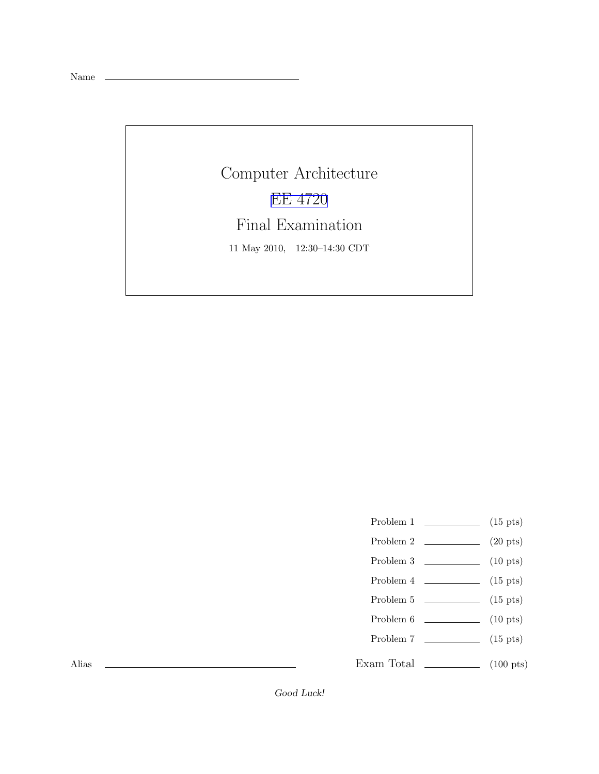Name

Computer Architecture [EE 4720](http://www.ece.lsu.edu/ee4720/) Final Examination 11 May 2010, 12:30–14:30 CDT

- Problem 1  $\qquad \qquad$  (15 pts)
- Problem 2 (20 pts)
- Problem 3 (10 pts)
- Problem  $4 \t\t(15 \text{ pts})$
- Problem 5 (15 pts)
- Problem 6 (10 pts)
- Problem 7 (15 pts)

Exam Total \_\_\_\_\_\_\_\_\_\_\_\_\_ (100 pts)

Alias

Good Luck!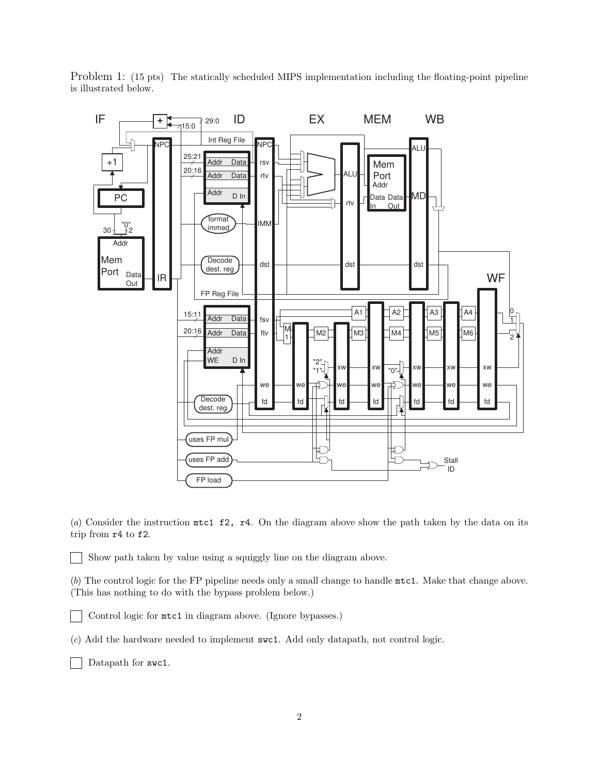

Problem 1: (15 pts) The statically scheduled MIPS implementation including the floating-point pipeline is illustrated below.

(a) Consider the instruction mtc1 f2, r4. On the diagram above show the path taken by the data on its trip from r4 to f2.

Show path taken by value using a squiggly line on the diagram above.

(b) The control logic for the FP pipeline needs only a small change to handle mtc1. Make that change above. (This has nothing to do with the bypass problem below.)

Control logic for mtc1 in diagram above. (Ignore bypasses.)

(c) Add the hardware needed to implement swc1. Add only datapath, not control logic.

Datapath for swc1.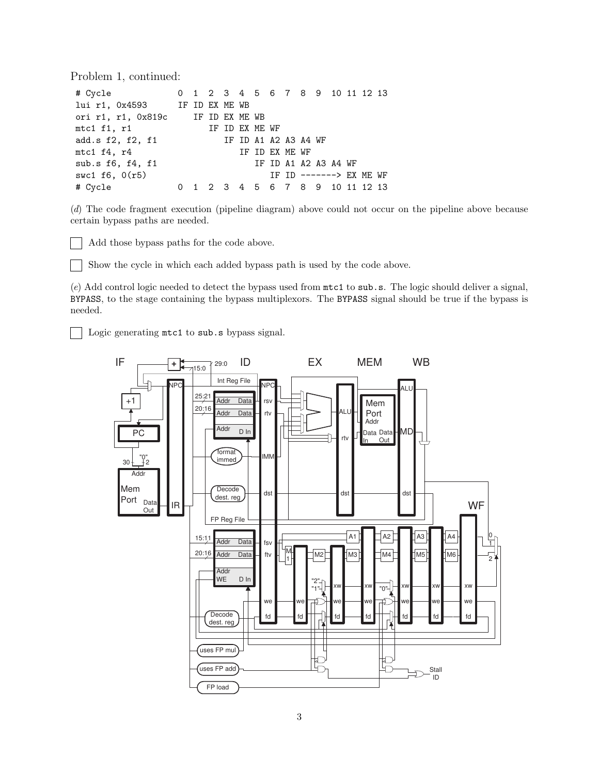Problem 1, continued:

| # Cycle 0 1 2 3 4 5 6 7 8 9 10 11 12 13 |                      |  |  |  |                                 |  |  |  |
|-----------------------------------------|----------------------|--|--|--|---------------------------------|--|--|--|
| lui r1, 0x4593 IF ID EX ME WB           |                      |  |  |  |                                 |  |  |  |
| ori r1, r1, 0x819c IF ID EX ME WB       |                      |  |  |  |                                 |  |  |  |
| mtc1 f1, r1 IF ID EX ME WF              |                      |  |  |  |                                 |  |  |  |
| add.s f2, f2, f1                        | IF ID A1 A2 A3 A4 WF |  |  |  |                                 |  |  |  |
| $mtc1$ $f4$ , $r4$                      |                      |  |  |  | IF ID EX ME WF                  |  |  |  |
| sub.s $f6$ , $f4$ , $f1$                |                      |  |  |  | IF ID A1 A2 A3 A4 WF            |  |  |  |
| swc1 $f6, 0(r5)$                        |                      |  |  |  | IF ID $-----> EX ME WF$         |  |  |  |
| # Cycle                                 |                      |  |  |  | 0 1 2 3 4 5 6 7 8 9 10 11 12 13 |  |  |  |

(d) The code fragment execution (pipeline diagram) above could not occur on the pipeline above because certain bypass paths are needed.

Add those bypass paths for the code above.

Show the cycle in which each added bypass path is used by the code above.

(e) Add control logic needed to detect the bypass used from mtc1 to sub.s. The logic should deliver a signal, BYPASS, to the stage containing the bypass multiplexors. The BYPASS signal should be true if the bypass is needed.

Logic generating mtc1 to sub.s bypass signal.

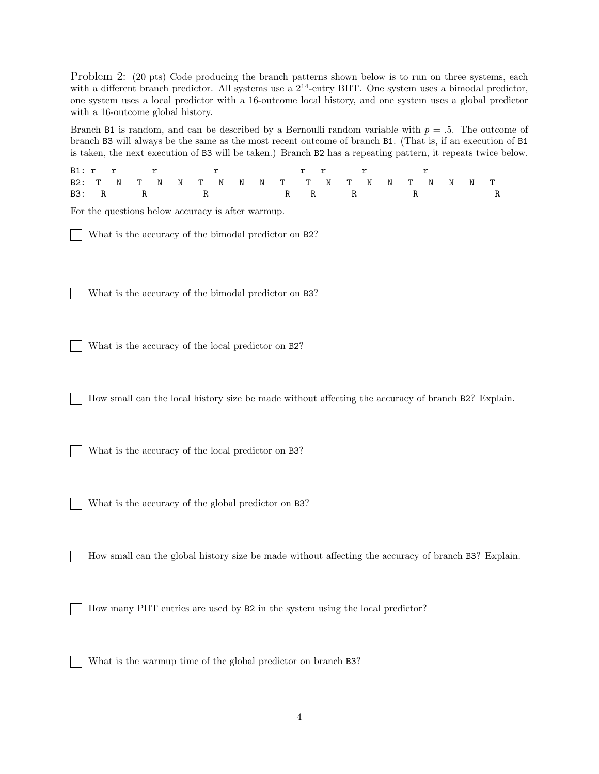Problem 2: (20 pts) Code producing the branch patterns shown below is to run on three systems, each with a different branch predictor. All systems use a  $2^{14}$ -entry BHT. One system uses a bimodal predictor. one system uses a local predictor with a 16-outcome local history, and one system uses a global predictor with a 16-outcome global history.

Branch B1 is random, and can be described by a Bernoulli random variable with  $p = .5$ . The outcome of branch B3 will always be the same as the most recent outcome of branch B1. (That is, if an execution of B1 is taken, the next execution of B3 will be taken.) Branch B2 has a repeating pattern, it repeats twice below.

|  |  |  |  |  |  | Bl:rr r r r r r r                           |  |  |  |  |
|--|--|--|--|--|--|---------------------------------------------|--|--|--|--|
|  |  |  |  |  |  | B2: T N T N N T N N N T T N T N N T N N N T |  |  |  |  |
|  |  |  |  |  |  | B3: RRRRRRRRRRRRRR                          |  |  |  |  |

For the questions below accuracy is after warmup.

What is the accuracy of the bimodal predictor on B2?

What is the accuracy of the bimodal predictor on B3?

What is the accuracy of the local predictor on B2?

How small can the local history size be made without affecting the accuracy of branch B2? Explain.

What is the accuracy of the local predictor on B3?

What is the accuracy of the global predictor on B3?

How small can the global history size be made without affecting the accuracy of branch B3? Explain.

How many PHT entries are used by B2 in the system using the local predictor?

What is the warmup time of the global predictor on branch B3?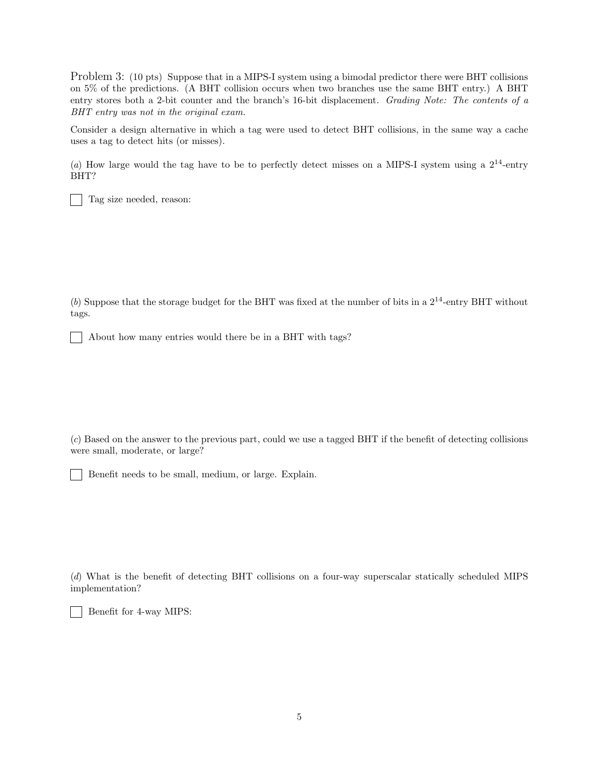Problem 3: (10 pts) Suppose that in a MIPS-I system using a bimodal predictor there were BHT collisions on 5% of the predictions. (A BHT collision occurs when two branches use the same BHT entry.) A BHT entry stores both a 2-bit counter and the branch's 16-bit displacement. Grading Note: The contents of a BHT entry was not in the original exam.

Consider a design alternative in which a tag were used to detect BHT collisions, in the same way a cache uses a tag to detect hits (or misses).

(a) How large would the tag have to be to perfectly detect misses on a MIPS-I system using a  $2^{14}$ -entry BHT?

Tag size needed, reason:

(b) Suppose that the storage budget for the BHT was fixed at the number of bits in a  $2^{14}$ -entry BHT without tags.

About how many entries would there be in a BHT with tags?

(c) Based on the answer to the previous part, could we use a tagged BHT if the benefit of detecting collisions were small, moderate, or large?

Benefit needs to be small, medium, or large. Explain.

(d) What is the benefit of detecting BHT collisions on a four-way superscalar statically scheduled MIPS implementation?

Benefit for 4-way MIPS:

 $\mathbf{I}$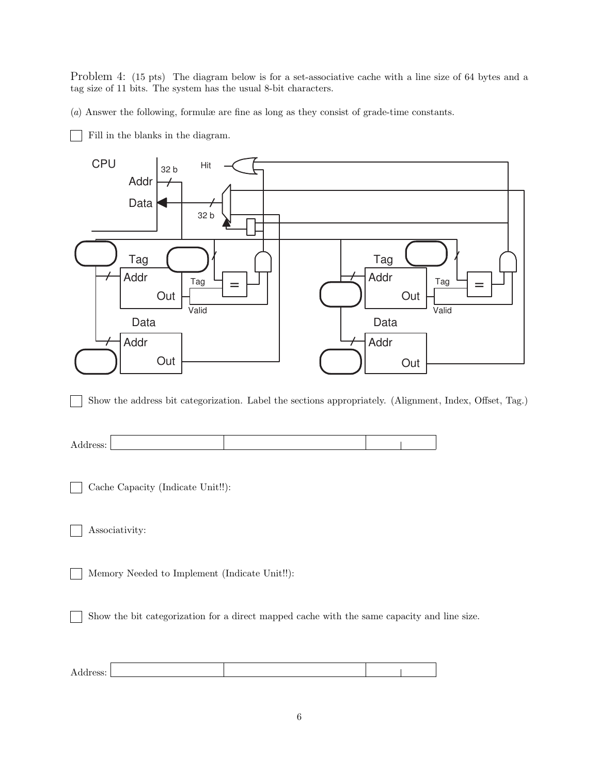Problem 4: (15 pts) The diagram below is for a set-associative cache with a line size of 64 bytes and a tag size of 11 bits. The system has the usual 8-bit characters.

(a) Answer the following, formulæ are fine as long as they consist of grade-time constants.

Fill in the blanks in the diagram.

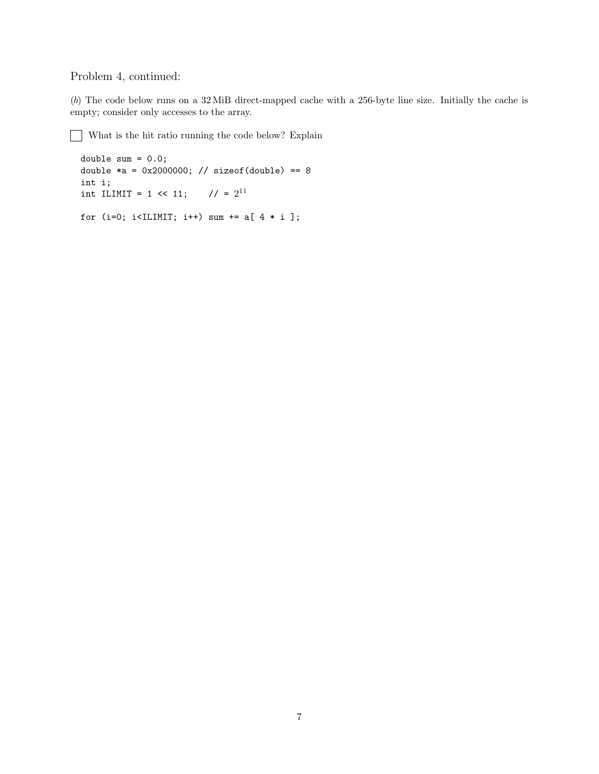## Problem 4, continued:

(b) The code below runs on a 32 MiB direct-mapped cache with a 256-byte line size. Initially the cache is empty; consider only accesses to the array.

What is the hit ratio running the code below? Explain

```
double sum = 0.0;
double *a = 0x2000000; // sizeof(double) == 8
int i;
int ILIMIT = 1 << 11; // = 2^{11}for (i=0; i<ILIMIT; i++) sum += a[ 4 * i ];
```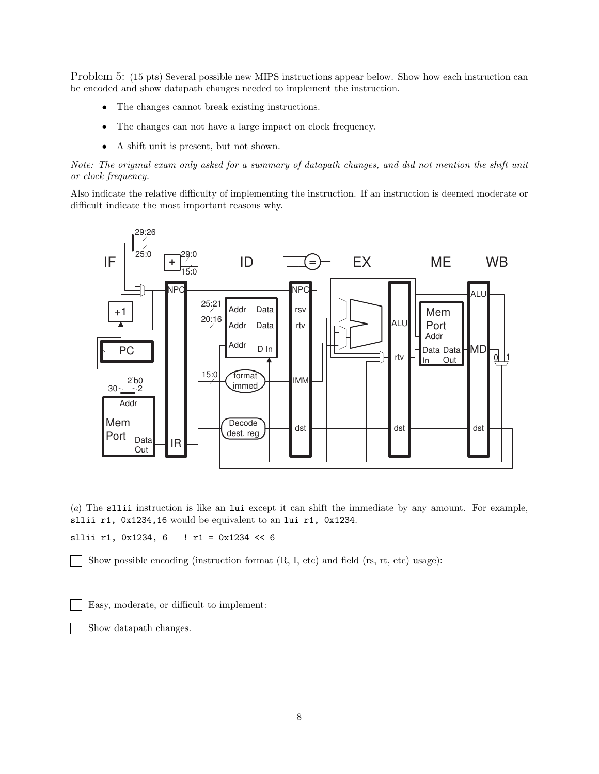Problem 5: (15 pts) Several possible new MIPS instructions appear below. Show how each instruction can be encoded and show datapath changes needed to implement the instruction.

- The changes cannot break existing instructions.
- The changes can not have a large impact on clock frequency.
- A shift unit is present, but not shown.

Note: The original exam only asked for a summary of datapath changes, and did not mention the shift unit or clock frequency.

Also indicate the relative difficulty of implementing the instruction. If an instruction is deemed moderate or difficult indicate the most important reasons why.



(a) The sllii instruction is like an lui except it can shift the immediate by any amount. For example, sllii r1, 0x1234,16 would be equivalent to an lui r1, 0x1234.

sllii r1, 0x1234, 6 ! r1 = 0x1234 << 6

Show possible encoding (instruction format (R, I, etc) and field (rs, rt, etc) usage):

Easy, moderate, or difficult to implement:

Show datapath changes.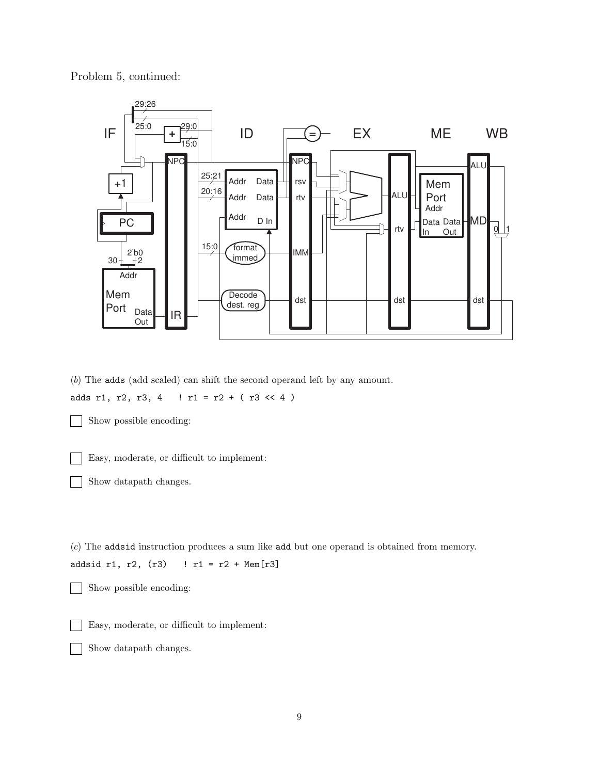Problem 5, continued:



(b) The adds (add scaled) can shift the second operand left by any amount. adds r1, r2, r3, 4  $\mid$  r1 = r2 + ( r3 << 4)

Show possible encoding:

Easy, moderate, or difficult to implement:  $\mathbf{I}$ 

Show datapath changes.

(c) The addsid instruction produces a sum like add but one operand is obtained from memory.

```
addsid r1, r2, (r3) ! r1 = r2 + Mem[r3]
```
Show possible encoding:

Easy, moderate, or difficult to implement:

Show datapath changes.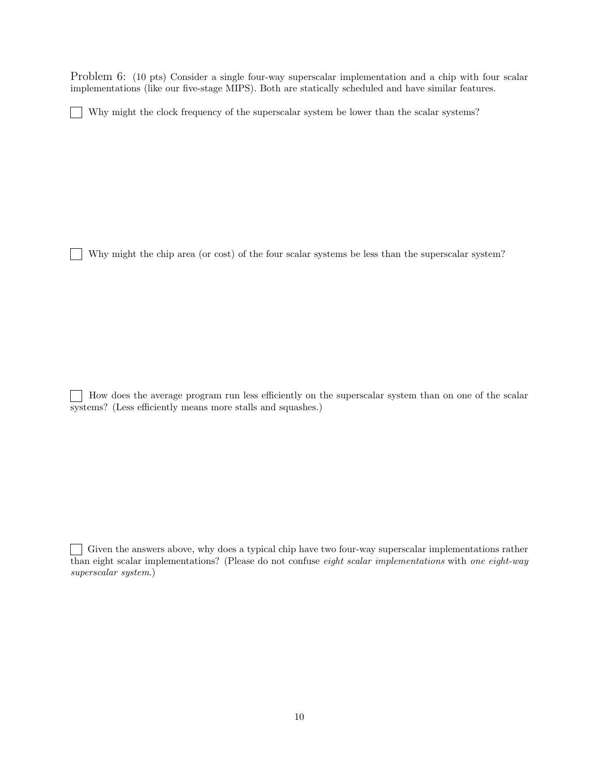Problem 6: (10 pts) Consider a single four-way superscalar implementation and a chip with four scalar implementations (like our five-stage MIPS). Both are statically scheduled and have similar features.

Why might the clock frequency of the superscalar system be lower than the scalar systems?  $\blacksquare$ 

Why might the chip area (or cost) of the four scalar systems be less than the superscalar system?

 $\mathbb{R}$ 

How does the average program run less efficiently on the superscalar system than on one of the scalar systems? (Less efficiently means more stalls and squashes.)

Given the answers above, why does a typical chip have two four-way superscalar implementations rather than eight scalar implementations? (Please do not confuse eight scalar implementations with one eight-way superscalar system.)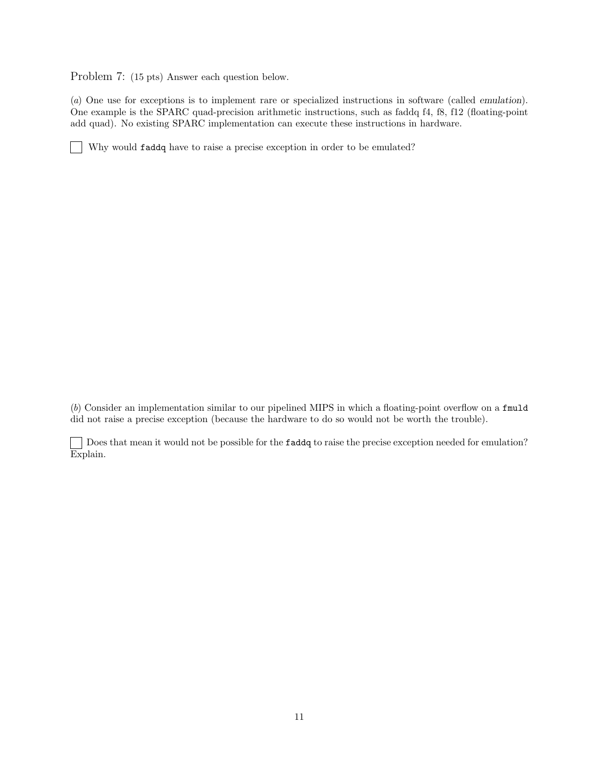Problem 7: (15 pts) Answer each question below.

(a) One use for exceptions is to implement rare or specialized instructions in software (called emulation). One example is the SPARC quad-precision arithmetic instructions, such as faddq f4, f8, f12 (floating-point add quad). No existing SPARC implementation can execute these instructions in hardware.

Why would faddq have to raise a precise exception in order to be emulated?

(b) Consider an implementation similar to our pipelined MIPS in which a floating-point overflow on a fmuld did not raise a precise exception (because the hardware to do so would not be worth the trouble).

Does that mean it would not be possible for the **faddq** to raise the precise exception needed for emulation? Explain.